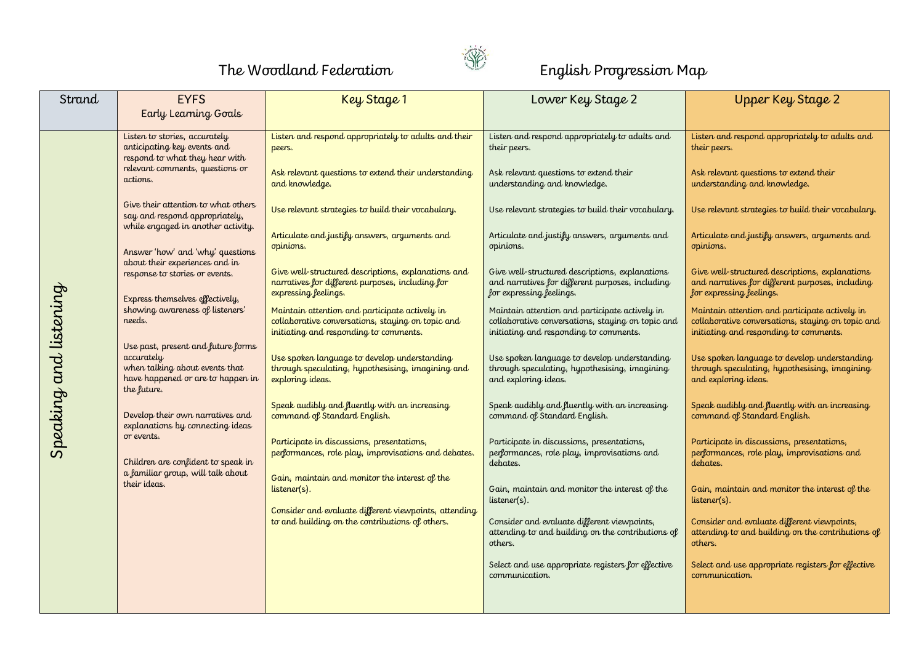

## The Woodland Federation **Election** English Progression Map

| Strand                 | <b>EYFS</b>                                                                                                                                                                                                         | Key Stage 1                                                                                                                                                                                                               | Lower Key Stage 2                                                                                                                                                                                                             | <b>Upper Key Stage 2</b>                                                                                                                                                                                                      |
|------------------------|---------------------------------------------------------------------------------------------------------------------------------------------------------------------------------------------------------------------|---------------------------------------------------------------------------------------------------------------------------------------------------------------------------------------------------------------------------|-------------------------------------------------------------------------------------------------------------------------------------------------------------------------------------------------------------------------------|-------------------------------------------------------------------------------------------------------------------------------------------------------------------------------------------------------------------------------|
|                        | Early Learning Goals                                                                                                                                                                                                |                                                                                                                                                                                                                           |                                                                                                                                                                                                                               |                                                                                                                                                                                                                               |
| Speaking and listening | Listen to stories, accurately<br>anticipating key events and<br>respond to what they hear with<br>relevant comments, questions or<br>actions.                                                                       | Listen and respond appropriately to adults and their<br>peers.<br>Ask relevant questions to extend their understanding<br>and knowledge.                                                                                  | Listen and respond appropriately to adults and<br>their peers.<br>Ask relevant questions to extend their<br>understanding and knowledge.                                                                                      | Listen and respond appropriately to adults and<br>their peers.<br>Ask relevant questions to extend their<br>understanding and knowledge.                                                                                      |
|                        | Give their attention to what others<br>say and respond appropriately,<br>while engaged in another activity.<br>Answer 'how' and 'why' questions<br>about their experiences and in<br>response to stories or events. | Use relevant strategies to build their vocabulary.<br>Articulate and justify answers, arguments and<br>opinions.<br>Give well-structured descriptions, explanations and                                                   | Use relevant strategies to build their vocabulary.<br>Articulate and justify answers, arguments and<br>opinions.<br>Give well-structured descriptions, explanations                                                           | Use relevant strategies to build their vocabulary.<br>Articulate and justify answers, arguments and<br>opinions.<br>Give well-structured descriptions, explanations                                                           |
|                        | Express themselves effectively,<br>showing awareness of listeners'<br>needs.                                                                                                                                        | narratives for different purposes, including for<br>expressing feelings.<br>Maintain attention and participate actively in<br>collaborative conversations, staying on topic and<br>initiating and responding to comments. | and narratives for different purposes, including<br>for expressing feelings.<br>Maintain attention and participate actively in<br>collaborative conversations, staying on topic and<br>initiating and responding to comments. | and narratives for different purposes, including<br>for expressing feelings.<br>Maintain attention and participate actively in<br>collaborative conversations, staying on topic and<br>initiating and responding to comments. |
|                        | Use past, present and future forms<br>accurately<br>when talking about events that<br>have happened or are to happen in<br>the future.                                                                              | Use spoken language to develop understanding<br>through speculating, hypothesising, imagining and<br>exploring ideas.                                                                                                     | Use spoken language to develop understanding<br>through speculating, hypothesising, imagining<br>and exploring ideas.                                                                                                         | Use spoken language to develop understanding<br>through speculating, hypothesising, imagining<br>and exploring ideas.                                                                                                         |
|                        | Develop their own narratives and<br>explanations by connecting ideas<br>or events.                                                                                                                                  | Speak audibly and fluently with an increasing<br>command of Standard English.<br>Participate in discussions, presentations,<br>performances, role play, improvisations and debates.                                       | Speak audibly and fluently with an increasing<br>command of Standard English.<br>Participate in discussions, presentations,<br>performances, role play, improvisations and                                                    | Speak audibly and fluently with an increasing<br>command of Standard English.<br>Participate in discussions, presentations,<br>performances, role play, improvisations and                                                    |
|                        | Children are confident to speak in<br>a familiar group, will talk about<br>their ideas.                                                                                                                             | Gain, maintain and monitor the interest of the<br>listener(s).<br>Consider and evaluate different viewpoints, attending                                                                                                   | debates.<br>Gain, maintain and monitor the interest of the<br>listener(s).                                                                                                                                                    | debates.<br>Gain, maintain and monitor the interest of the<br>listener(s).                                                                                                                                                    |
|                        |                                                                                                                                                                                                                     | to and building on the contributions of others.                                                                                                                                                                           | Consider and evaluate different viewpoints,<br>attending to and building on the contributions of<br>others.                                                                                                                   | Consider and evaluate different viewpoints,<br>attending to and building on the contributions of<br>others.                                                                                                                   |
|                        |                                                                                                                                                                                                                     |                                                                                                                                                                                                                           | Select and use appropriate registers for effective<br>communication.                                                                                                                                                          | Select and use appropriate registers for effective<br>communication.                                                                                                                                                          |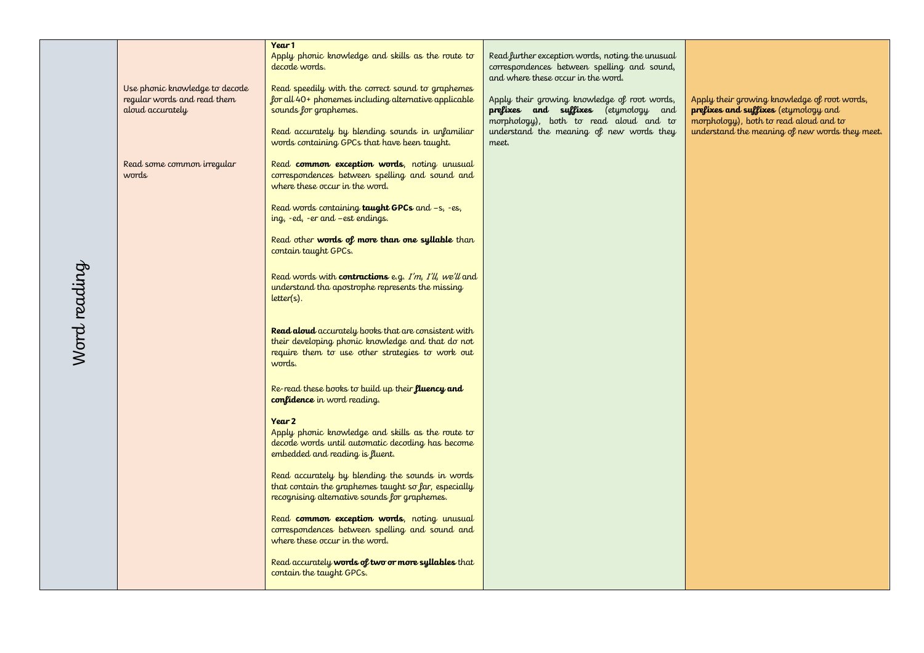|              |                                                                                   | Year 1                                                                                                                                                                                                                                                        |                                                                                                                                                                                                                                                                                                                     |                                                                                                                                                                                  |
|--------------|-----------------------------------------------------------------------------------|---------------------------------------------------------------------------------------------------------------------------------------------------------------------------------------------------------------------------------------------------------------|---------------------------------------------------------------------------------------------------------------------------------------------------------------------------------------------------------------------------------------------------------------------------------------------------------------------|----------------------------------------------------------------------------------------------------------------------------------------------------------------------------------|
|              | Use phonic knowledge to decode<br>regular words and read them<br>aloud accurately | Apply phonic knowledge and skills as the route to<br>decode words.<br>Read speedily with the correct sound to graphemes<br>for all 40+ phonemes including alternative applicable<br>sounds for graphemes.<br>Read accurately by blending sounds in unfamiliar | Read further exception words, noting the unusual<br>correspondences between spelling and sound,<br>and where these occur in the word.<br>Apply their growing knowledge of root words,<br>prefixes and suffixes (etymology and<br>morphology), both to read aloud and to<br>understand the meaning of new words they | Apply their growing knowledge of root words,<br>prefixes and suffixes (etymology and<br>morphology), both to read aloud and to<br>understand the meaning of new words they meet. |
|              |                                                                                   | words containing GPCs that have been taught.                                                                                                                                                                                                                  | meet.                                                                                                                                                                                                                                                                                                               |                                                                                                                                                                                  |
|              | Read some common irregular<br>words                                               | Read common exception words, noting unusual<br>correspondences between spelling and sound and<br>where these occur in the word.                                                                                                                               |                                                                                                                                                                                                                                                                                                                     |                                                                                                                                                                                  |
|              |                                                                                   | Read words containing taught GPCs and -s, -es,<br>ing, -ed, -er and -est endings.                                                                                                                                                                             |                                                                                                                                                                                                                                                                                                                     |                                                                                                                                                                                  |
|              |                                                                                   | Read other words of more than one syllable than<br>contain taught GPCs.                                                                                                                                                                                       |                                                                                                                                                                                                                                                                                                                     |                                                                                                                                                                                  |
|              |                                                                                   | Read words with <b>contractions</b> e.g. I'm, I'll, we'll and<br>understand tha apostrophe represents the missing<br>$letter(s)$ .                                                                                                                            |                                                                                                                                                                                                                                                                                                                     |                                                                                                                                                                                  |
| Word reading |                                                                                   | Read aloud accurately books that are consistent with<br>their developing phonic knowledge and that do not<br>require them to use other strategies to work out<br>words.                                                                                       |                                                                                                                                                                                                                                                                                                                     |                                                                                                                                                                                  |
|              |                                                                                   | Re-read these books to build up their fluency and<br>confidence in word reading.                                                                                                                                                                              |                                                                                                                                                                                                                                                                                                                     |                                                                                                                                                                                  |
|              |                                                                                   | Year 2<br>Apply phonic knowledge and skills as the route to<br>decode words until automatic decoding has become<br>embedded and reading is fluent.                                                                                                            |                                                                                                                                                                                                                                                                                                                     |                                                                                                                                                                                  |
|              |                                                                                   | Read accurately by blending the sounds in words<br>that contain the graphemes taught so far, especially<br>recognising alternative sounds for graphemes.                                                                                                      |                                                                                                                                                                                                                                                                                                                     |                                                                                                                                                                                  |
|              |                                                                                   | Read common exception words, noting unusual<br>correspondences between spelling and sound and<br>where these occur in the word.                                                                                                                               |                                                                                                                                                                                                                                                                                                                     |                                                                                                                                                                                  |
|              |                                                                                   | Read accurately words of two or more syllables that<br>contain the taught GPCs.                                                                                                                                                                               |                                                                                                                                                                                                                                                                                                                     |                                                                                                                                                                                  |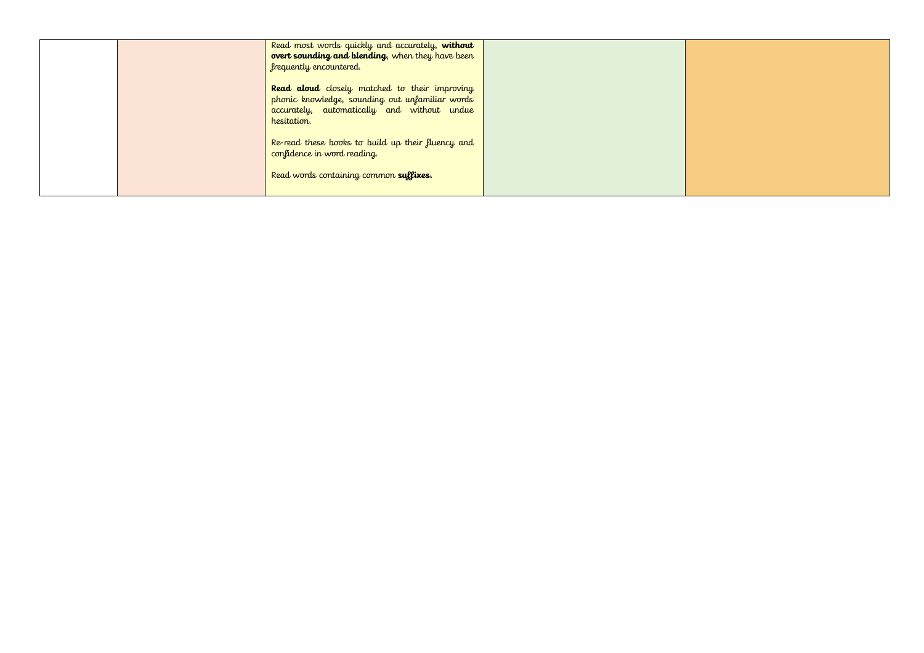|  | Read most words quickly and accurately, without<br>overt sounding and blending, when they have been<br>frequently encountered.                                 |  |
|--|----------------------------------------------------------------------------------------------------------------------------------------------------------------|--|
|  | Read aloud closely matched to their improving<br>phonic knowledge, sounding out unfamiliar words<br>accurately, automatically and without undue<br>hesitation. |  |
|  | Re-read these books to build up their fluency and<br>confidence in word reading.                                                                               |  |
|  | Read words containing common suffixes.                                                                                                                         |  |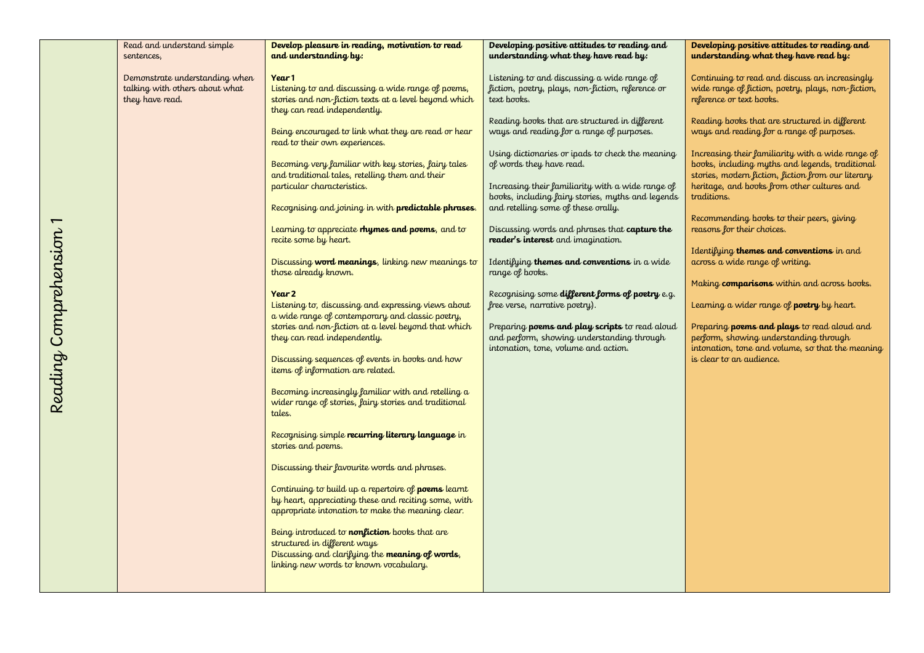| Read and understand simple     | Develop pleasure in reading, motivation to read            | Developing positive attitudes to reading and      | Developing positive attitudes to reading and       |
|--------------------------------|------------------------------------------------------------|---------------------------------------------------|----------------------------------------------------|
| sentences,                     | and understanding by:                                      | understanding what they have read by:             | understanding what they have read by:              |
|                                |                                                            |                                                   |                                                    |
| Demonstrate understanding when | Year 1                                                     | Listening to and discussing a wide range of       | Continuing to read and discuss an increasingly     |
|                                |                                                            |                                                   |                                                    |
| talking with others about what | Listening to and discussing a wide range of poems,         | fiction, poetry, plays, non-fiction, reference or | wide range of fiction, poetry, plays, non-fiction, |
| they have read.                | stories and non-fiction texts at a level beyond which      | text books.                                       | reference or text books.                           |
|                                | they can read independently.                               |                                                   |                                                    |
|                                |                                                            | Reading books that are structured in different    | Reading books that are structured in different     |
|                                | Being encouraged to link what they are read or hear        | ways and reading for a range of purposes.         | ways and reading for a range of purposes.          |
|                                |                                                            |                                                   |                                                    |
|                                | read to their own experiences.                             |                                                   |                                                    |
|                                |                                                            | Using dictionaries or ipads to check the meaning  | Increasing their familiarity with a wide range of  |
|                                | Becoming very familiar with key stories, fairy tales       | of words they have read.                          | books, including myths and legends, traditional    |
|                                | and traditional tales, retelling them and their            |                                                   | stories, modern fiction, fiction from our literary |
|                                | particular characteristics.                                | Increasing their familiarity with a wide range of | heritage, and books from other cultures and        |
|                                |                                                            |                                                   |                                                    |
|                                |                                                            | books, including fairy stories, myths and legends | traditions.                                        |
|                                | Recognising and joining in with predictable phrases.       | and retelling some of these orally.               |                                                    |
|                                |                                                            |                                                   | Recommending books to their peers, giving          |
|                                | Learning to appreciate rhymes and poems, and to            | Discussing words and phrases that capture the     | reasons for their choices.                         |
|                                | recite some by heart.                                      | <b>reader's interest</b> and imagination.         |                                                    |
|                                |                                                            |                                                   |                                                    |
|                                |                                                            |                                                   | Identifying themes and conventions in and          |
|                                | Discussing word meanings, linking new meanings to          | Identifying themes and conventions in a wide      | across a wide range of writing.                    |
|                                | those already known.                                       | range of books.                                   |                                                    |
|                                |                                                            |                                                   | Making comparisons within and across books.        |
|                                | Year 2                                                     | Recognising some different forms of poetry e.g.   |                                                    |
|                                | Listening to, discussing and expressing views about        |                                                   |                                                    |
|                                |                                                            | free verse, narrative poetry).                    | Learning a wider range of <b>poetry</b> by heart.  |
|                                | a wide range of contemporary and classic poetry,           |                                                   |                                                    |
|                                | stories and non-fiction at a level beyond that which       | Preparing poems and play scripts to read aloud    | Preparing <b>poems and plays</b> to read aloud and |
|                                | they can read independently.                               | and perform, showing understanding through        | perform, showing understanding through             |
|                                |                                                            | intonation, tone, volume and action.              | intonation, tone and volume, so that the meaning   |
|                                | Discussing sequences of events in books and how            |                                                   | is clear to an audience.                           |
|                                |                                                            |                                                   |                                                    |
|                                | items of information are related.                          |                                                   |                                                    |
|                                |                                                            |                                                   |                                                    |
|                                | Becoming increasingly familiar with and retelling a        |                                                   |                                                    |
|                                | wider range of stories, fairy stories and traditional      |                                                   |                                                    |
|                                | tales.                                                     |                                                   |                                                    |
|                                |                                                            |                                                   |                                                    |
|                                |                                                            |                                                   |                                                    |
|                                | Recognising simple recurring literary language in          |                                                   |                                                    |
|                                | stories and poems.                                         |                                                   |                                                    |
|                                |                                                            |                                                   |                                                    |
|                                | Discussing their favourite words and phrases.              |                                                   |                                                    |
|                                |                                                            |                                                   |                                                    |
|                                |                                                            |                                                   |                                                    |
|                                | Continuing to build up a repertoire of <b>poems</b> learnt |                                                   |                                                    |
|                                | by heart, appreciating these and reciting some, with       |                                                   |                                                    |
|                                | appropriate intonation to make the meaning clear.          |                                                   |                                                    |
|                                |                                                            |                                                   |                                                    |
|                                | Being introduced to <b>nonfiction</b> books that are       |                                                   |                                                    |
|                                |                                                            |                                                   |                                                    |
|                                | structured in different ways                               |                                                   |                                                    |
|                                | Discussing and clarifying the meaning of words,            |                                                   |                                                    |
|                                | linking new words to known vocabulary.                     |                                                   |                                                    |
|                                |                                                            |                                                   |                                                    |
|                                |                                                            |                                                   |                                                    |
|                                |                                                            |                                                   |                                                    |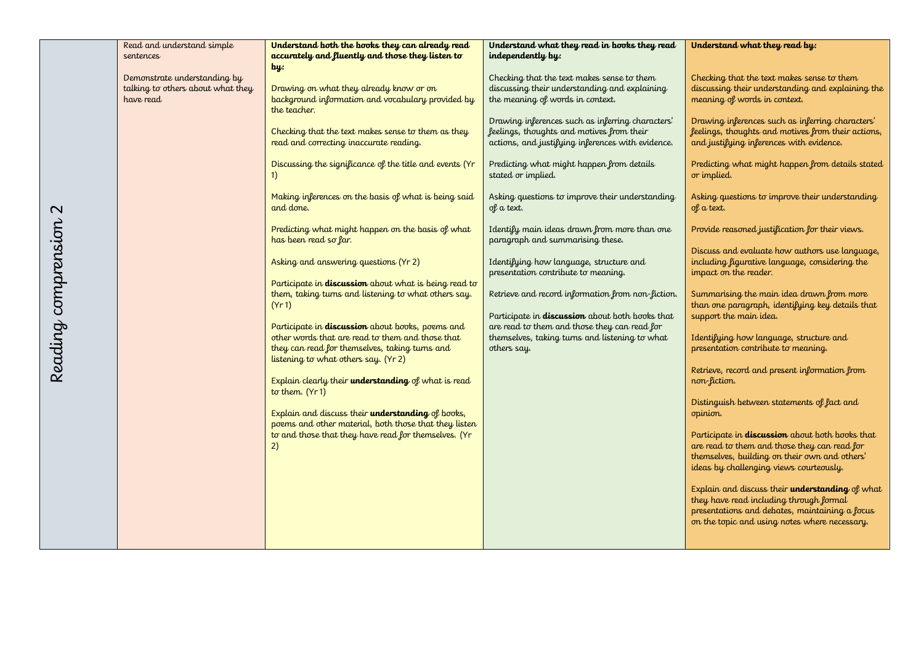|                     | Read and understand simple                                                     | Understand both the books they can already read                                                                                            | Understand what they read in books they read                                                                                                       | Understand what they read by:                                                                                                                                                                      |
|---------------------|--------------------------------------------------------------------------------|--------------------------------------------------------------------------------------------------------------------------------------------|----------------------------------------------------------------------------------------------------------------------------------------------------|----------------------------------------------------------------------------------------------------------------------------------------------------------------------------------------------------|
|                     | sentences                                                                      | accurately and fluently and those they listen to                                                                                           | independently by:                                                                                                                                  |                                                                                                                                                                                                    |
|                     | Demonstrate understanding by<br>talking to others about what they<br>have read | $\mathbf{b}$<br>Drawing on what they already know or on<br>background information and vocabulary provided by<br>the teacher.               | Checking that the text makes sense to them<br>discussing their understanding and explaining<br>the meaning of words in context.                    | Checking that the text makes sense to them<br>discussing their understanding and explaining the<br>meaning of words in context.                                                                    |
|                     |                                                                                | Checking that the text makes sense to them as they<br>read and correcting inaccurate reading.                                              | Drawing inferences such as inferring characters'<br>feelings, thoughts and motives from their<br>actions, and justifying inferences with evidence. | Drawing inferences such as inferring characters'<br>feelings, thoughts and motives from their actions,<br>and justifying inferences with evidence.                                                 |
|                     |                                                                                | Discussing the significance of the title and events (Yr<br>1)                                                                              | Predicting what might happen from details<br>stated or implied.                                                                                    | Predicting what might happen from details stated<br>or implied.                                                                                                                                    |
| $\mathbf{\Omega}$   |                                                                                | Making inferences on the basis of what is being said<br>and done.                                                                          | Asking questions to improve their understanding<br>of a text.                                                                                      | Asking questions to improve their understanding<br>of a text.                                                                                                                                      |
|                     |                                                                                | Predicting what might happen on the basis of what<br>has been read so far.                                                                 | Identify main ideas drawn from more than one<br>paragraph and summarising these.                                                                   | Provide reasoned justification for their views.                                                                                                                                                    |
|                     |                                                                                | Asking and answering questions (Yr 2)                                                                                                      | Identifying how language, structure and<br>presentation contribute to meaning.                                                                     | Discuss and evaluate how authors use language,<br>including figurative language, considering the<br>impact on the reader.                                                                          |
|                     |                                                                                | Participate in <b>discussion</b> about what is being read to<br>them, taking turns and listening to what others say.<br>(Yr1)              | Retrieve and record information from non-fiction.                                                                                                  | Summarising the main idea drawn from more<br>than one paragraph, identifying key details that                                                                                                      |
|                     |                                                                                | Participate in <b>discussion</b> about books, poems and                                                                                    | Participate in discussion about both books that<br>are read to them and those they can read for                                                    | support the main idea.                                                                                                                                                                             |
| Reading comprension |                                                                                | other words that are read to them and those that<br>they can read for themselves, taking turns and<br>listening to what others say. (Yr 2) | themselves, taking turns and listening to what<br>others say.                                                                                      | Identifying how language, structure and<br>presentation contribute to meaning.                                                                                                                     |
|                     |                                                                                | Explain clearly their understanding of what is read<br>to them. (Yr1)                                                                      |                                                                                                                                                    | Retrieve, record and present information from<br>non-fiction.                                                                                                                                      |
|                     |                                                                                | Explain and discuss their understanding of books,<br>poems and other material, both those that they listen                                 |                                                                                                                                                    | Distinguish between statements of fact and<br>opinion.                                                                                                                                             |
|                     |                                                                                | to and those that they have read for themselves. (Yr<br>2)                                                                                 |                                                                                                                                                    | Participate in <b>discussion</b> about both books that<br>are read to them and those they can read for<br>themselves, building on their own and others'<br>ideas by challenging views courteously. |
|                     |                                                                                |                                                                                                                                            |                                                                                                                                                    | Explain and discuss their understanding of what<br>they have read including through formal<br>presentations and debates, maintaining a focus<br>on the topic and using notes where necessary.      |
|                     |                                                                                |                                                                                                                                            |                                                                                                                                                    |                                                                                                                                                                                                    |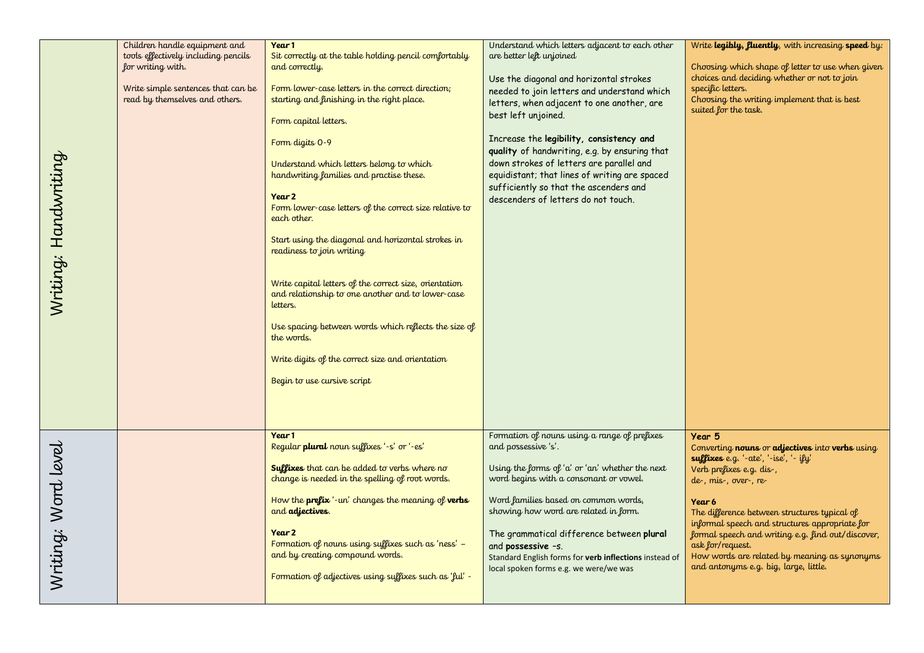|                      | Children handle equipment and                                                                                                    | Year 1                                                                                                                                                                                                                                                                                                                                                                                                                                                                                                                                                                                                                                                                                                                                                                    | Understand which letters adjacent to each other                                                                                                                                                                                                                                                                                                                                                                                                                    | Write legibly, fluently, with increasing speed by:                                                                                                                                                                                                                                                                                                                                                                                    |
|----------------------|----------------------------------------------------------------------------------------------------------------------------------|---------------------------------------------------------------------------------------------------------------------------------------------------------------------------------------------------------------------------------------------------------------------------------------------------------------------------------------------------------------------------------------------------------------------------------------------------------------------------------------------------------------------------------------------------------------------------------------------------------------------------------------------------------------------------------------------------------------------------------------------------------------------------|--------------------------------------------------------------------------------------------------------------------------------------------------------------------------------------------------------------------------------------------------------------------------------------------------------------------------------------------------------------------------------------------------------------------------------------------------------------------|---------------------------------------------------------------------------------------------------------------------------------------------------------------------------------------------------------------------------------------------------------------------------------------------------------------------------------------------------------------------------------------------------------------------------------------|
| Writing: Handwriting | tools effectively including pencils<br>for writing with.<br>Write simple sentences that can be<br>read by themselves and others. | Sit correctly at the table holding pencil comfortably<br>and correctly.<br>Form lower-case letters in the correct direction;<br>starting and finishing in the right place.<br>Form capital letters.<br>Form digits 0-9<br>Understand which letters belong to which<br>handwriting families and practise these.<br>Year 2<br>Form lower-case letters of the correct size relative to<br>each other.<br>Start using the diagonal and horizontal strokes in<br>readiness to join writing<br>Write capital letters of the correct size, orientation<br>and relationship to one another and to lower-case<br>letters.<br>Use spacing between words which reflects the size of<br>the words.<br>Write digits of the correct size and orientation<br>Begin to use cursive script | are better left unjoined<br>Use the diagonal and horizontal strokes<br>needed to join letters and understand which<br>letters, when adjacent to one another, are<br>best left unjoined.<br>Increase the legibility, consistency and<br>quality of handwriting, e.g. by ensuring that<br>down strokes of letters are parallel and<br>equidistant; that lines of writing are spaced<br>sufficiently so that the ascenders and<br>descenders of letters do not touch. | Choosing which shape of letter to use when given<br>choices and deciding whether or not to join<br>specific letters.<br>Choosing the writing implement that is best<br>suited for the task.                                                                                                                                                                                                                                           |
| Writing: Word level  |                                                                                                                                  | Year 1<br>Regular plural noun suffixes '-s' or '-es'<br><b>Suffixes</b> that can be added to verbs where no<br>change is needed in the spelling of root words.<br>How the <b>prefix</b> '-un' changes the meaning of <b>verbs</b><br>and adjectives.<br>Year 2<br>Formation of nouns using suffixes such as 'ness' -<br>and by creating compound words.<br>Formation of adjectives using suffixes such as 'ful' -                                                                                                                                                                                                                                                                                                                                                         | Formation of nouns using a range of prefixes<br>and possessive 's'.<br>Using the forms of 'a' or 'an' whether the next<br>word begins with a consonant or vowel.<br>Word families based on common words,<br>showing how word are related in form.<br>The grammatical difference between plural<br>and possessive -s.<br>Standard English forms for verb inflections instead of<br>local spoken forms e.g. we were/we was                                           | Year 5<br>Converting nouns or adjectives into verbs using<br>suffixes e.g. '-ate', '-ise', '- ify'<br>Verb prefixes e.g. dis-,<br>de-, mis-, over-, re-<br>Year 6<br>The difference between structures typical of<br>informal speech and structures appropriate for<br>formal speech and writing e.g. find out/discover,<br>ask for/request.<br>How words are related by meaning as synonyms<br>and antonyms e.g. big, large, little. |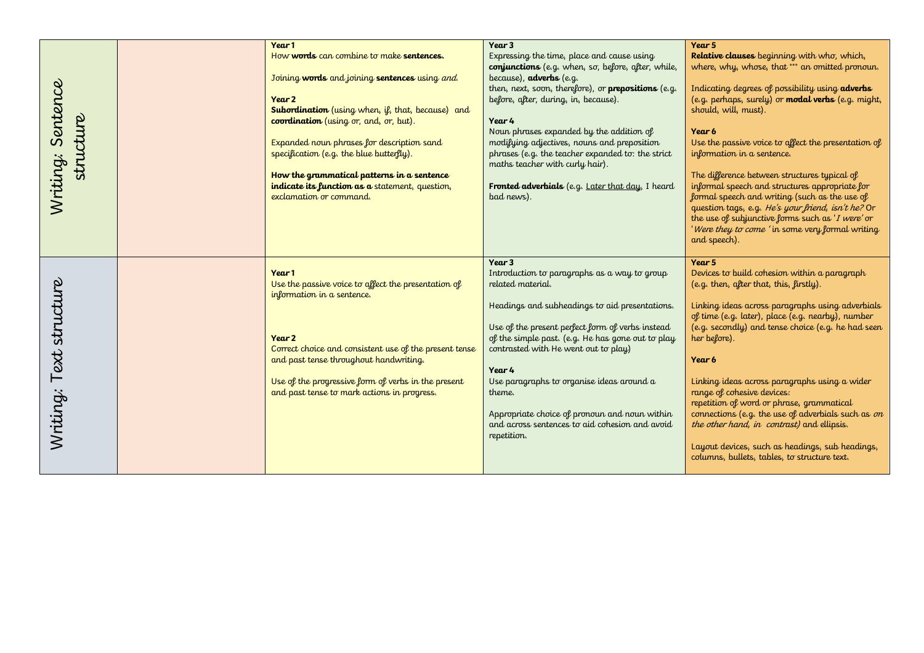|                                | Year 1                                                                            | Year 3                                                     | Year 5                                                                                                 |
|--------------------------------|-----------------------------------------------------------------------------------|------------------------------------------------------------|--------------------------------------------------------------------------------------------------------|
|                                | How words can combine to make sentences.                                          | Expressing the time, place and cause using                 | Relative clauses beginning with who, which,                                                            |
|                                |                                                                                   | conjunctions (e.g. when, so, before, after, while,         | where, why, whose, that *** an omitted pronoun.                                                        |
|                                | Joining words and joining sentences using and.                                    | because), adverbs (e.g.                                    |                                                                                                        |
|                                |                                                                                   | then, next, soon, therefore), or <b>prepositions</b> (e.g. | Indicating degrees of possibility using adverbs                                                        |
|                                | Year 2                                                                            | before, after, during, in, because).                       | (e.g. perhaps, surely) or <b>modal verbs</b> (e.g. might,                                              |
|                                | <b>Subordination</b> (using when, if, that, because) and                          | Year 4                                                     | should, will, must).                                                                                   |
|                                | coordination (using or, and, or, but).                                            | Noun phrases expanded by the addition of                   | Year 6                                                                                                 |
| Writing: Sentence<br>structure | Expanded noun phrases for description sand                                        | modifying adjectives, nouns and preposition                | Use the passive voice to affect the presentation of                                                    |
|                                | specification (e.g. the blue butterfly).                                          | phrases (e.g. the teacher expanded to: the strict          | information in a sentence.                                                                             |
|                                |                                                                                   | maths teacher with curly hair).                            |                                                                                                        |
|                                | How the grammatical patterns in a sentence                                        |                                                            | The difference between structures typical of                                                           |
|                                | indicate its function as a statement, question,                                   | Fronted adverbials (e.g. Later that day, I heard           | informal speech and structures appropriate for                                                         |
|                                | exclamation or command.                                                           | bad news).                                                 | formal speech and writing (such as the use of                                                          |
|                                |                                                                                   |                                                            | question tags, e.g. He's your friend, isn't he? Or<br>the use of subjunctive forms such as 'I were' or |
|                                |                                                                                   |                                                            | 'Were they to come 'in some very formal writing                                                        |
|                                |                                                                                   |                                                            | and speech).                                                                                           |
|                                |                                                                                   |                                                            |                                                                                                        |
|                                |                                                                                   | Year 3                                                     | Year 5                                                                                                 |
|                                | Year 1                                                                            | Introduction to paragraphs as a way to group               | Devices to build cohesion within a paragraph                                                           |
| Text structure                 | Use the passive voice to affect the presentation of<br>information in a sentence. | related material.                                          | (e.g. then, after that, this, firstly).                                                                |
|                                |                                                                                   | Headings and subheadings to aid presentations.             | Linking ideas across paragraphs using adverbials                                                       |
|                                |                                                                                   |                                                            | of time (e.g. later), place (e.g. nearby), number                                                      |
|                                |                                                                                   | Use of the present perfect form of verbs instead           | (e.g. secondly) and tense choice (e.g. he had seen                                                     |
|                                | Year 2                                                                            | of the simple past. (e.g. He has gone out to play          | her before).                                                                                           |
|                                | Correct choice and consistent use of the present tense                            | contrasted with He went out to play)                       |                                                                                                        |
|                                | and past tense throughout handwriting.                                            |                                                            | Year 6                                                                                                 |
|                                | Use of the progressive form of verbs in the present                               | Year 4<br>Use paragraphs to organise ideas around a        | Linking ideas across paragraphs using a wider                                                          |
|                                | and past tense to mark actions in progress.                                       | theme.                                                     | range of cohesive devices:                                                                             |
|                                |                                                                                   |                                                            | repetition of word or phrase, grammatical                                                              |
| Writing:                       |                                                                                   | Appropriate choice of pronoun and noun within              | connections (e.g. the use of adverbials such as $\sigma n$                                             |
|                                |                                                                                   | and across sentences to aid cohesion and avoid             | the other hand, in contrast) and ellipsis.                                                             |
|                                |                                                                                   | repetition.                                                |                                                                                                        |
|                                |                                                                                   |                                                            | Layout devices, such as headings, sub headings,<br>columns, bullets, tables, to structure text.        |
|                                |                                                                                   |                                                            |                                                                                                        |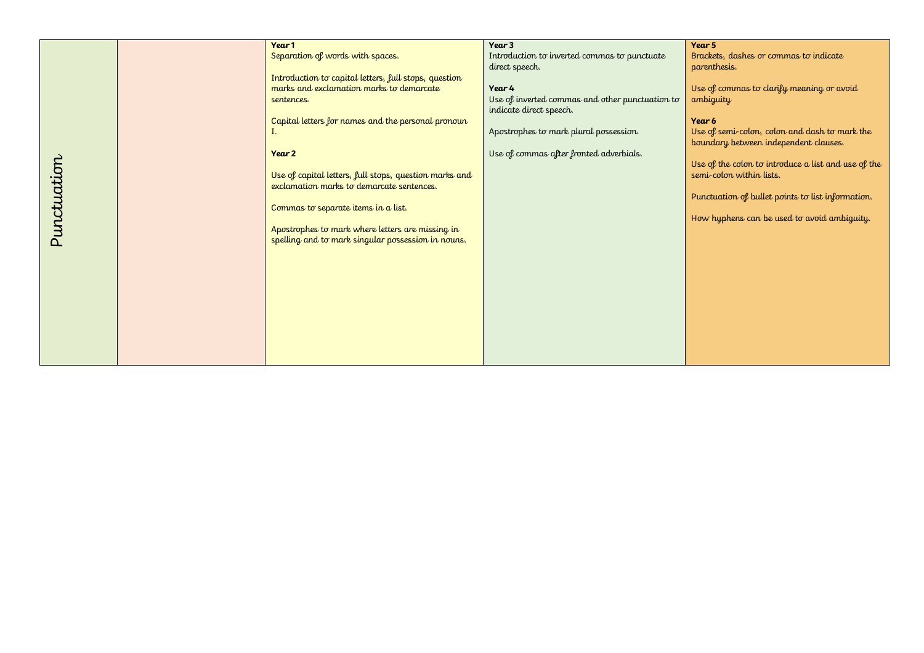|             | Year 1                                                 | Year 3                                          | Year 5                                              |
|-------------|--------------------------------------------------------|-------------------------------------------------|-----------------------------------------------------|
|             | Separation of words with spaces.                       | Introduction to inverted commas to punctuate    | Brackets, dashes or commas to indicate              |
|             |                                                        | direct speech.                                  | parenthesis.                                        |
|             | Introduction to capital letters, full stops, question  |                                                 |                                                     |
|             | marks and exclamation marks to demarcate               | Year 4                                          | Use of commas to clarify meaning or avoid           |
|             | sentences.                                             | Use of inverted commas and other punctuation to | ambiguity                                           |
|             |                                                        | indicate direct speech.                         |                                                     |
|             | Capital letters for names and the personal pronoun     |                                                 | Year 6                                              |
|             |                                                        | Apostrophes to mark plural possession.          | Use of semi-colon, colon and dash to mark the       |
|             |                                                        |                                                 | boundary between independent clauses.               |
|             | Year 2                                                 | Use of commas after fronted adverbials.         |                                                     |
|             |                                                        |                                                 | Use of the colon to introduce a list and use of the |
|             | Use of capital letters, full stops, question marks and |                                                 | semi-colon within lists.                            |
|             |                                                        |                                                 |                                                     |
|             | exclamation marks to demarcate sentences.              |                                                 |                                                     |
|             |                                                        |                                                 | Punctuation of bullet points to list information.   |
|             | Commas to separate items in a list.                    |                                                 |                                                     |
| Punctuation |                                                        |                                                 | How hyphens can be used to avoid ambiguity.         |
|             | Apostrophes to mark where letters are missing in       |                                                 |                                                     |
|             | spelling and to mark singular possession in nouns.     |                                                 |                                                     |
|             |                                                        |                                                 |                                                     |
|             |                                                        |                                                 |                                                     |
|             |                                                        |                                                 |                                                     |
|             |                                                        |                                                 |                                                     |
|             |                                                        |                                                 |                                                     |
|             |                                                        |                                                 |                                                     |
|             |                                                        |                                                 |                                                     |
|             |                                                        |                                                 |                                                     |
|             |                                                        |                                                 |                                                     |
|             |                                                        |                                                 |                                                     |
|             |                                                        |                                                 |                                                     |
|             |                                                        |                                                 |                                                     |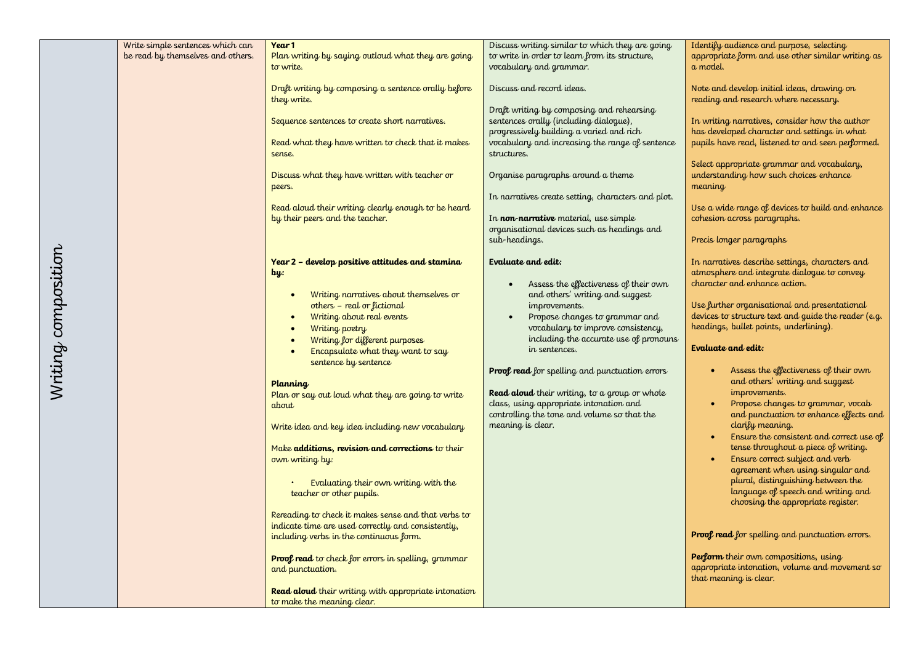|                                                                       | Year 1                                                     |                                                                                                   | Identify audience and purpose, selecting                                 |
|-----------------------------------------------------------------------|------------------------------------------------------------|---------------------------------------------------------------------------------------------------|--------------------------------------------------------------------------|
| Write simple sentences which can<br>be read by themselves and others. | Plan writing by saying outloud what they are going         | Discuss writing similar to which they are going<br>to write in order to learn from its structure, | appropriate form and use other similar writing as                        |
|                                                                       | to write.                                                  | vocabulary and grammar.                                                                           | a model.                                                                 |
|                                                                       |                                                            |                                                                                                   |                                                                          |
|                                                                       | Draft writing by composing a sentence orally before        | Discuss and record ideas.                                                                         | Note and develop initial ideas, drawing on                               |
|                                                                       | they write.                                                |                                                                                                   | reading and research where necessary.                                    |
|                                                                       |                                                            | Draft writing by composing and rehearsing                                                         |                                                                          |
|                                                                       | Sequence sentences to create short narratives.             | sentences orally (including dialogue),                                                            | In writing narratives, consider how the author                           |
|                                                                       |                                                            | progressively building a varied and rich                                                          | has developed character and settings in what                             |
|                                                                       | Read what they have written to check that it makes         | vocabulary and increasing the range of sentence                                                   | pupils have read, listened to and seen performed.                        |
|                                                                       | sense.                                                     | structures.                                                                                       |                                                                          |
|                                                                       |                                                            |                                                                                                   | Select appropriate grammar and vocabulary,                               |
|                                                                       | Discuss what they have written with teacher or             | Organise paragraphs around a theme                                                                | understanding how such choices enhance                                   |
|                                                                       | peers.                                                     |                                                                                                   | meaning                                                                  |
|                                                                       |                                                            | In narratives create setting, characters and plot.                                                |                                                                          |
|                                                                       | Read aloud their writing clearly enough to be heard        |                                                                                                   | Use a wide range of devices to build and enhance                         |
|                                                                       | by their peers and the teacher.                            | In non-narrative material, use simple                                                             | cohesion across paragraphs.                                              |
|                                                                       |                                                            | organisational devices such as headings and<br>sub-headings.                                      | Precis longer paragraphs                                                 |
|                                                                       |                                                            |                                                                                                   |                                                                          |
|                                                                       | Year 2 - develop positive attitudes and stamina            | Evaluate and edit:                                                                                | In narratives describe settings, characters and                          |
|                                                                       | $\mathbf{b}$ y:                                            |                                                                                                   | atmosphere and integrate dialogue to convey                              |
|                                                                       |                                                            | Assess the effectiveness of their own                                                             | character and enhance action.                                            |
|                                                                       | Writing narratives about themselves or<br>$\bullet$        | and others' writing and suggest                                                                   |                                                                          |
|                                                                       | others - real or fictional                                 | improvements.                                                                                     | Use further organisational and presentational                            |
|                                                                       | Writing about real events<br>$\bullet$                     | Propose changes to grammar and<br>$\bullet$                                                       | devices to structure text and guide the reader (e.g.                     |
|                                                                       | Writing poetry<br>$\bullet$                                | vocabulary to improve consistency,                                                                | headings, bullet points, underlining).                                   |
|                                                                       | Writing for different purposes<br>$\bullet$                | including the accurate use of pronouns                                                            |                                                                          |
|                                                                       | Encapsulate what they want to say<br>$\bullet$             | in sentences.                                                                                     | Evaluate and edit:                                                       |
|                                                                       | sentence by sentence                                       |                                                                                                   |                                                                          |
|                                                                       |                                                            | <b>Proof read</b> for spelling and punctuation errors                                             | Assess the effectiveness of their own                                    |
|                                                                       | Planning                                                   |                                                                                                   | and others' writing and suggest<br>improvements.                         |
|                                                                       | Plan or say out loud what they are going to write          | Read aloud their writing, to a group or whole<br>class, using appropriate intonation and          | Propose changes to grammar, vocab<br>$\bullet$                           |
|                                                                       | about                                                      | controlling the tone and volume so that the                                                       | and punctuation to enhance effects and                                   |
|                                                                       |                                                            | meaning is clear.                                                                                 | clarify meaning.                                                         |
|                                                                       | Write idea and key idea including new vocabulary           |                                                                                                   | Ensure the consistent and correct use of<br>$\bullet$                    |
|                                                                       | Make additions, revision and corrections to their          |                                                                                                   | tense throughout a piece of writing.                                     |
|                                                                       | own writing by:                                            |                                                                                                   | Ensure correct subject and verb<br>$\bullet$                             |
|                                                                       |                                                            |                                                                                                   | agreement when using singular and                                        |
|                                                                       | Evaluating their own writing with the                      |                                                                                                   | plural, distinguishing between the                                       |
|                                                                       | teacher or other pupils.                                   |                                                                                                   | language of speech and writing and                                       |
|                                                                       |                                                            |                                                                                                   | choosing the appropriate register.                                       |
|                                                                       | Rereading to check it makes sense and that verbs to        |                                                                                                   |                                                                          |
|                                                                       | indicate time are used correctly and consistently,         |                                                                                                   |                                                                          |
|                                                                       | including verbs in the continuous form.                    |                                                                                                   | <b>Proof read</b> for spelling and punctuation errors.                   |
|                                                                       |                                                            |                                                                                                   |                                                                          |
|                                                                       | <b>Proof read</b> to check for errors in spelling, grammar |                                                                                                   | Perform their own compositions, using                                    |
|                                                                       | and punctuation.                                           |                                                                                                   | appropriate intonation, volume and movement so<br>that meaning is clear. |
|                                                                       |                                                            |                                                                                                   |                                                                          |
|                                                                       | Read aloud their writing with appropriate intonation       |                                                                                                   |                                                                          |
|                                                                       | to make the meaning clear.                                 |                                                                                                   |                                                                          |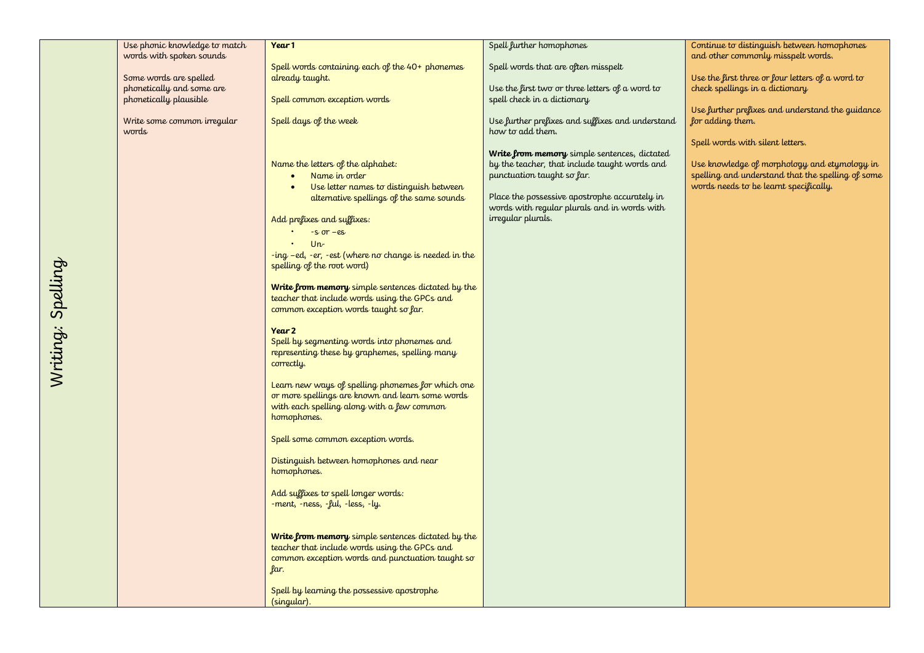|                   | Use phonic knowledge to match | Year 1                                                                                              | Spell further homophones                         | Continue to distinguish between homophones        |
|-------------------|-------------------------------|-----------------------------------------------------------------------------------------------------|--------------------------------------------------|---------------------------------------------------|
|                   | words with spoken sounds      | Spell words containing each of the 40+ phonemes                                                     | Spell words that are often misspelt              | and other commonly misspelt words.                |
|                   | Some words are spelled        | already taught.                                                                                     |                                                  | Use the first three or four letters of a word to  |
|                   | phonetically and some are     |                                                                                                     | Use the first two or three letters of a word to  | check spellings in a dictionary                   |
|                   | phonetically plausible        | Spell common exception words                                                                        | spell check in a dictionary                      |                                                   |
|                   |                               |                                                                                                     |                                                  | Use further prefixes and understand the guidance  |
|                   | Write some common irregular   | Spell days of the week                                                                              | Use further prefixes and suffixes and understand | for adding them.                                  |
|                   | words                         |                                                                                                     | how to add them.                                 |                                                   |
|                   |                               |                                                                                                     | Write from memory simple sentences, dictated     | Spell words with silent letters.                  |
|                   |                               | Name the letters of the alphabet:                                                                   | by the teacher, that include taught words and    | Use knowledge of morphology and etymology in      |
|                   |                               | Name in order<br>$\bullet$                                                                          | punctuation taught so far.                       | spelling and understand that the spelling of some |
|                   |                               | Use letter names to distinguish between<br>$\bullet$                                                |                                                  | words needs to be learnt specifically.            |
|                   |                               | alternative spellings of the same sounds                                                            | Place the possessive apostrophe accurately in    |                                                   |
|                   |                               |                                                                                                     | words with regular plurals and in words with     |                                                   |
|                   |                               | Add prefixes and suffixes:                                                                          | irregular plurals.                               |                                                   |
|                   |                               | $-S$ or $-es$                                                                                       |                                                  |                                                   |
|                   |                               | $Un -$                                                                                              |                                                  |                                                   |
|                   |                               | -ing -ed, -er, -est (where no change is needed in the<br>spelling of the root word)                 |                                                  |                                                   |
|                   |                               |                                                                                                     |                                                  |                                                   |
|                   |                               | Write from memory simple sentences dictated by the                                                  |                                                  |                                                   |
|                   |                               | teacher that include words using the GPCs and                                                       |                                                  |                                                   |
|                   |                               | common exception words taught so far.                                                               |                                                  |                                                   |
|                   |                               |                                                                                                     |                                                  |                                                   |
|                   |                               | Year 2<br>Spell by segmenting words into phonemes and                                               |                                                  |                                                   |
|                   |                               | representing these by graphemes, spelling many                                                      |                                                  |                                                   |
|                   |                               | correctly.                                                                                          |                                                  |                                                   |
| Writing: Spelling |                               |                                                                                                     |                                                  |                                                   |
|                   |                               | Learn new ways of spelling phonemes for which one                                                   |                                                  |                                                   |
|                   |                               | or more spellings are known and learn some words                                                    |                                                  |                                                   |
|                   |                               | with each spelling along with a few common<br>homophones.                                           |                                                  |                                                   |
|                   |                               |                                                                                                     |                                                  |                                                   |
|                   |                               | Spell some common exception words.                                                                  |                                                  |                                                   |
|                   |                               |                                                                                                     |                                                  |                                                   |
|                   |                               | Distinguish between homophones and near                                                             |                                                  |                                                   |
|                   |                               | homophones.                                                                                         |                                                  |                                                   |
|                   |                               | Add suffixes to spell longer words:                                                                 |                                                  |                                                   |
|                   |                               | -ment, -ness, -ful, -less, -ly.                                                                     |                                                  |                                                   |
|                   |                               |                                                                                                     |                                                  |                                                   |
|                   |                               |                                                                                                     |                                                  |                                                   |
|                   |                               | Write from memory simple sentences dictated by the<br>teacher that include words using the GPCs and |                                                  |                                                   |
|                   |                               | common exception words and punctuation taught so                                                    |                                                  |                                                   |
|                   |                               | far.                                                                                                |                                                  |                                                   |
|                   |                               |                                                                                                     |                                                  |                                                   |
|                   |                               | Spell by learning the possessive apostrophe                                                         |                                                  |                                                   |
|                   |                               | (singular).                                                                                         |                                                  |                                                   |